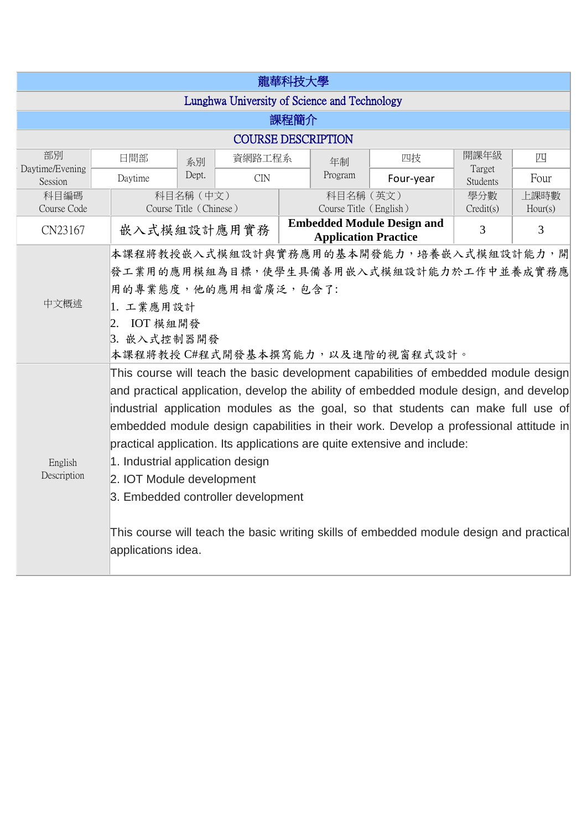| 龍華科技大學                                       |                                                                                         |                                     |            |  |                                     |                                   |                  |                 |  |  |  |
|----------------------------------------------|-----------------------------------------------------------------------------------------|-------------------------------------|------------|--|-------------------------------------|-----------------------------------|------------------|-----------------|--|--|--|
| Lunghwa University of Science and Technology |                                                                                         |                                     |            |  |                                     |                                   |                  |                 |  |  |  |
| 課程簡介                                         |                                                                                         |                                     |            |  |                                     |                                   |                  |                 |  |  |  |
| <b>COURSE DESCRIPTION</b>                    |                                                                                         |                                     |            |  |                                     |                                   |                  |                 |  |  |  |
| 部別<br>Daytime/Evening                        | 日間部                                                                                     | 系別                                  | 資網路工程系     |  | 年制                                  | 四技                                | 開課年級<br>Target   | 四               |  |  |  |
| Session                                      | Daytime                                                                                 | Dept.                               | <b>CIN</b> |  | Program                             | Four-year                         | Students         | Four            |  |  |  |
| 科目編碼<br>Course Code                          |                                                                                         | 科目名稱 (中文)<br>Course Title (Chinese) |            |  | 科目名稱 (英文)<br>Course Title (English) |                                   | 學分數<br>Credit(s) | 上課時數<br>Hour(s) |  |  |  |
| CN23167                                      |                                                                                         | 嵌入式模組設計應用實務                         |            |  | <b>Application Practice</b>         | <b>Embedded Module Design and</b> | 3                | 3               |  |  |  |
|                                              | 本課程將教授嵌入式模組設計與實務應用的基本開發能力,培養嵌入式模組設計能力,開                                                 |                                     |            |  |                                     |                                   |                  |                 |  |  |  |
|                                              | 發工業用的應用模組為目標,使學生具備善用嵌入式模組設計能力於工作中並養成實務應                                                 |                                     |            |  |                                     |                                   |                  |                 |  |  |  |
|                                              | 用的專業態度,他的應用相當廣泛,包含了:                                                                    |                                     |            |  |                                     |                                   |                  |                 |  |  |  |
| 中文概述                                         | 1. 工業應用設計                                                                               |                                     |            |  |                                     |                                   |                  |                 |  |  |  |
|                                              | 2. IOT 模組開發                                                                             |                                     |            |  |                                     |                                   |                  |                 |  |  |  |
|                                              | 3. 嵌入式控制器開發<br>本課程將教授 C#程式開發基本撰寫能力,以及進階的視窗程式設計。                                         |                                     |            |  |                                     |                                   |                  |                 |  |  |  |
|                                              | This course will teach the basic development capabilities of embedded module design     |                                     |            |  |                                     |                                   |                  |                 |  |  |  |
| English<br>Description                       | and practical application, develop the ability of embedded module design, and develop   |                                     |            |  |                                     |                                   |                  |                 |  |  |  |
|                                              | industrial application modules as the goal, so that students can make full use of       |                                     |            |  |                                     |                                   |                  |                 |  |  |  |
|                                              | embedded module design capabilities in their work. Develop a professional attitude in   |                                     |            |  |                                     |                                   |                  |                 |  |  |  |
|                                              | practical application. Its applications are quite extensive and include:                |                                     |            |  |                                     |                                   |                  |                 |  |  |  |
|                                              | 1. Industrial application design                                                        |                                     |            |  |                                     |                                   |                  |                 |  |  |  |
|                                              | 2. IOT Module development                                                               |                                     |            |  |                                     |                                   |                  |                 |  |  |  |
|                                              | 3. Embedded controller development                                                      |                                     |            |  |                                     |                                   |                  |                 |  |  |  |
|                                              |                                                                                         |                                     |            |  |                                     |                                   |                  |                 |  |  |  |
|                                              | This course will teach the basic writing skills of embedded module design and practical |                                     |            |  |                                     |                                   |                  |                 |  |  |  |
|                                              | applications idea.                                                                      |                                     |            |  |                                     |                                   |                  |                 |  |  |  |
|                                              |                                                                                         |                                     |            |  |                                     |                                   |                  |                 |  |  |  |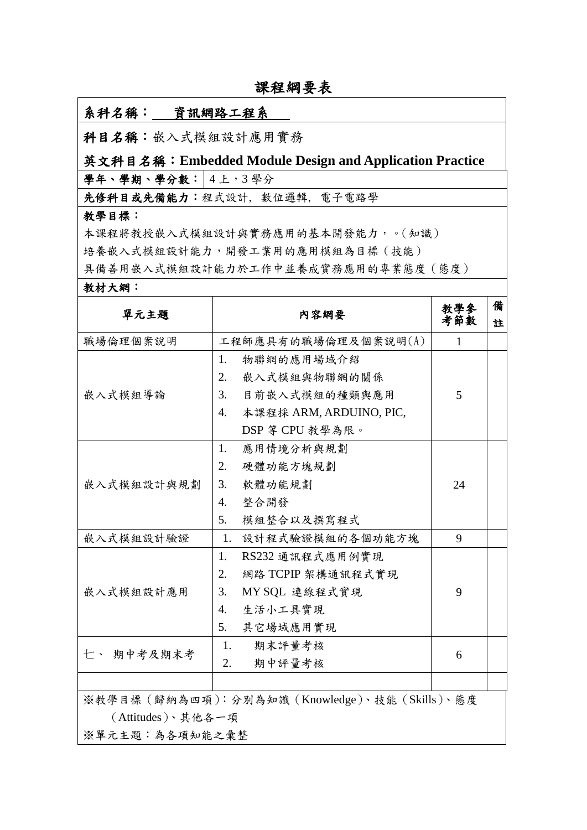## 課程綱要表

## 系科名稱:資訊網路工程系

科目名稱:嵌入式模組設計應用實務

# 英文科目名稱:**Embedded Module Design and Application Practice**

學年、學期、學分數: 4上, 3學分

先修科目或先備能力:程式設計, 數位邏輯, 電子電路學

### 教學目標:

本課程將教授嵌入式模組設計與實務應用的基本開發能力,。(知識) 培養嵌入式模組設計能力,開發工業用的應用模組為目標(技能) 具備善用嵌入式模組設計能力於工作中並養成實務應用的專業態度(態度)

### 教材大網:

| 單元主題                                            | 内容網要                          | 教學參<br>考節數 | 備<br>註 |  |  |  |  |  |
|-------------------------------------------------|-------------------------------|------------|--------|--|--|--|--|--|
| 職場倫理個案說明                                        | 工程師應具有的職場倫理及個案說明(A)           | 1          |        |  |  |  |  |  |
|                                                 | 1.<br>物聯網的應用場域介紹              |            |        |  |  |  |  |  |
|                                                 | 嵌入式模組與物聯網的關係<br>2.            |            |        |  |  |  |  |  |
| 嵌入式模組導論                                         | 3.<br>目前嵌入式模組的種類與應用           | 5          |        |  |  |  |  |  |
|                                                 | 本課程採 ARM, ARDUINO, PIC,<br>4. |            |        |  |  |  |  |  |
|                                                 | DSP 等 CPU 教學為限。               |            |        |  |  |  |  |  |
|                                                 | 應用情境分析與規劃<br>1.               |            |        |  |  |  |  |  |
|                                                 | 2.<br>硬體功能方塊規劃                |            |        |  |  |  |  |  |
| 嵌入式模組設計與規劃                                      | 3.<br>軟體功能規劃                  | 24         |        |  |  |  |  |  |
|                                                 | 4.<br>整合開發                    |            |        |  |  |  |  |  |
|                                                 | 5.<br>模組整合以及撰寫程式              |            |        |  |  |  |  |  |
| 嵌入式模組設計驗證                                       | 設計程式驗證模組的各個功能方塊<br>1.         | 9          |        |  |  |  |  |  |
|                                                 | RS232 通訊程式應用例實現<br>1.         |            |        |  |  |  |  |  |
|                                                 | 2.<br>網路 TCPIP 架構通訊程式實現       |            |        |  |  |  |  |  |
| 嵌入式模組設計應用                                       | 3.<br>MY SQL 連線程式實現           | 9          |        |  |  |  |  |  |
|                                                 | 生活小工具實現<br>4.                 |            |        |  |  |  |  |  |
|                                                 | 其它場域應用實現<br>5.                |            |        |  |  |  |  |  |
| 七、 期中考及期末考                                      | 1.<br>期末評量考核                  |            |        |  |  |  |  |  |
|                                                 | 期中評量考核<br>2.                  | 6          |        |  |  |  |  |  |
|                                                 |                               |            |        |  |  |  |  |  |
| ※教學目標 (歸納為四項): 分別為知識 (Knowledge)、技能 (Skills)、態度 |                               |            |        |  |  |  |  |  |
| (Attitudes)、其他各一項                               |                               |            |        |  |  |  |  |  |
| ※單元主題:為各項知能之彙整                                  |                               |            |        |  |  |  |  |  |